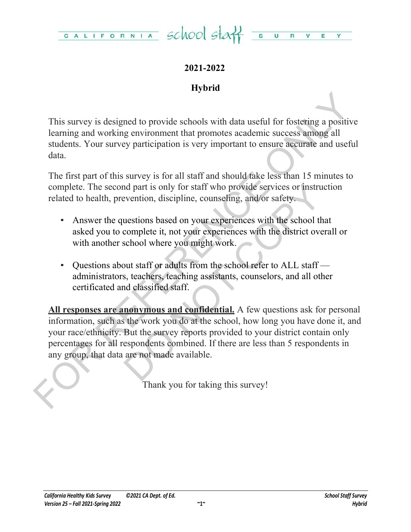

# **2021-2022**

# **Hybrid**

This survey is designed to provide schools with data useful for fostering a positive learning and working environment that promotes academic success among all students. Your survey participation is very important to ensure accurate and useful data.

The first part of this survey is for all staff and should take less than 15 minutes to complete. The second part is only for staff who provide services or instruction related to health, prevention, discipline, counseling, and/or safety.

- Answer the questions based on your experiences with the school that asked you to complete it, not your experiences with the district overall or with another school where you might work.
- Questions about staff or adults from the school refer to ALL staff administrators, teachers, teaching assistants, counselors, and all other certificated and classified staff.

This survey is designed to provide schools with data useful for fostering a positive<br>learning and working environment that promotes academic success among all<br>sudents. Your survey participation is very important to ensure and part is only for staff who provide services or instruct<br>evention, discipline, counseling, and/or safety.<br>uestions based on your experiences with the school that<br>complete it, not your experiences with the district overa **All responses are anonymous and confidential.** A few questions ask for personal information, such as the work you do at the school, how long you have done it, and your race/ethnicity. But the survey reports provided to your district contain only percentages for all respondents combined. If there are less than 5 respondents in any group, that data are not made available.

Thank you for taking this survey!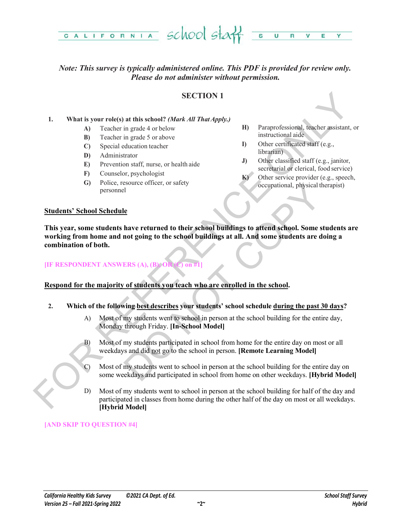

## *Note: This survey is typically administered online. This PDF is provided for review only. Please do not administer without permission.*

#### **SECTION 1**

#### **1. What is your role(s) at this school?** *(Mark All That Apply.)*

- **A)** Teacher in grade 4 or below
- **B)** Teacher in grade 5 or above
- **C)** Special education teacher
- **D)** Administrator
- **E)** Prevention staff, nurse, or health aide
- **F)** Counselor, psychologist
- **G)** Police, resource officer, or safety personnel
- **H)** Paraprofessional, teacher assistant, or instructional aide
- **I)** Other certificated staff (e.g., librarian)
- **J)** Other classified staff (e.g., janitor, secretarial or clerical, food service)
- **K)** Other service provider (e.g., speech, occupational, physical therapist)

#### **Students' School Schedule**

**SECTION 1**<br>
SECTION 1<br>
19 SECTION 1<br>
19 Teacher in grade 4 orbelow<br>
(b) Teacher in grade 3 or showe<br>
(D) Special education technical state<br>
(D) Special education technical state<br>
(D) Special education technical state<br>
(D Sessionce officer, or safety<br>
Le<br>
Le<br>
Le<br>
De lawe returned to their school buildings to attend school. Some students<br>
and returned to the school buildings at all. And some students are doin<br>
ERS (A), (B) OR (J) on #1<br>
of s **This year, some students have returned to their school buildings to attend school. Some students are working from home and not going to the school buildings at all. And some students are doing a combination of both.**

#### **[IF RESPONDENT ANSWERS (A), (B), OR (C) on #1]**

#### **Respond for the majority of students you teach who are enrolled in the school.**

- **2. Which of the following best describes your students' school schedule during the past 30 days?**
	- A) Most of my students went to school in person at the school building for the entire day, Monday through Friday. **[In-School Model]**
	- B) Most of my students participated in school from home for the entire day on most or all weekdays and did not go to the school in person. **[Remote Learning Model]**
	- C) Most of my students went to school in person at the school building for the entire day on some weekdays and participated in school from home on other weekdays. **[Hybrid Model]**
	- D) Most of my students went to school in person at the school building for half of the day and participated in classes from home during the other half of the day on most or all weekdays. **[Hybrid Model]**

#### **[AND SKIP TO QUESTION #4]**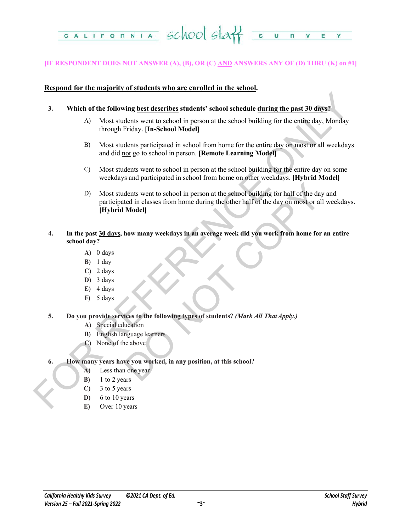

#### **[IF RESPONDENT DOES NOT ANSWER (A), (B), OR (C) AND ANSWERS ANY OF (D) THRU (K) on #1]**

#### **Respond for the majority of students who are enrolled in the school.**

- **3. Which of the following best describes students' school schedule during the past 30 days?**
	- A) Most students went to school in person at the school building for the entire day, Monday through Friday. **[In-School Model]**
	- B) Most students participated in school from home for the entire day on most or all weekdays and did not go to school in person. **[Remote Learning Model]**
	- C) Most students went to school in person at the school building for the entire day on some weekdays and participated in school from home on other weekdays. **[Hybrid Model]**
- FOR A Mixtures and the following best describes students' school schedule during the past 30 days?<br>
A Most students went to school in person at the school building for the entire day. Monday<br>
through Priday, Hn-School Mod dents went to school in person at the school building for half of the day at<br>et din classes from home during the other half of the day on most or all w<br>**Model**<br>**how many weekdays in an average week did you work from home f** D) Most students went to school in person at the school building for half of the day and participated in classes from home during the other half of the day on most or all weekdays. **[Hybrid Model]**
	- **4. In the past 30 days, how many weekdays in an average week did you work from home for an entire school day?**
		- **A)** 0 days
		- **B)** 1 day
		- **C)** 2 days
		- **D)** 3 days
		- **E)** 4 days
		- **F)** 5 days
	- **5. Do you provide services to the following types of students?** *(Mark All That Apply.)*
		- **A)** Special education
		- **B)** English language learners
		- **C)** None of the above
	- **6. How many years have you worked, in any position, at this school?**
		- **A)** Less than one year
		- **B)** 1 to 2 years
		- **C)** 3 to 5 years
		- **D)** 6 to 10 years
		- **E)** Over 10 years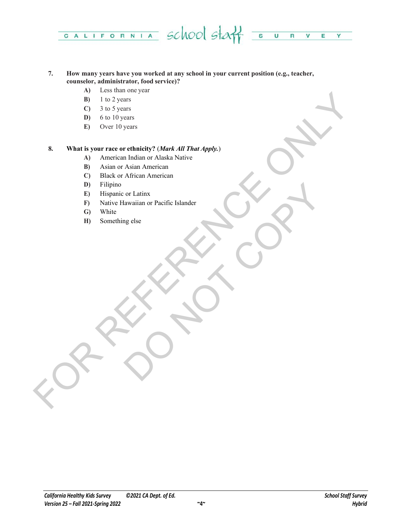

#### **7. How many years have you worked at any school in your current position (e.g., teacher, counselor, administrator, food service)?**

- **A)** Less than one year
- **B)** 1 to 2 years
- **C)** 3 to 5 years
- **D)** 6 to 10 years
- **E)** Over 10 years

# FOR THE CHAPTER CONTROL CONTROL CONTROL CONTROL CONTROL CONTROL CONTROL CONTROL CONTROL CONTROL CONTROL CONTROL CONTROL CONTROL CONTROL CONTROL CONTROL CONTROL CONTROL CONTROL CONTROL CONTROL CONTROL CONTROL CONTROL CONTRO **8. What is your race or ethnicity?** (*Mark All That Apply.*)

- **A)** American Indian or Alaska Native
- **B)** Asian or Asian American
- **C)** Black or African American
- **D)** Filipino
- **E)** Hispanic or Latinx
- or Latinx<br>algorithm or Pacific Islander<br>Copy of the Copy of the Copy of the Copy of the Copy of the Copy of the Copy of the Copy of the Copy of the Copy of the Copy of the Copy of the Copy of the Copy of the Copy of the Co **F)** Native Hawaiian or Pacific Islander
- **G)** White
- **H)** Something else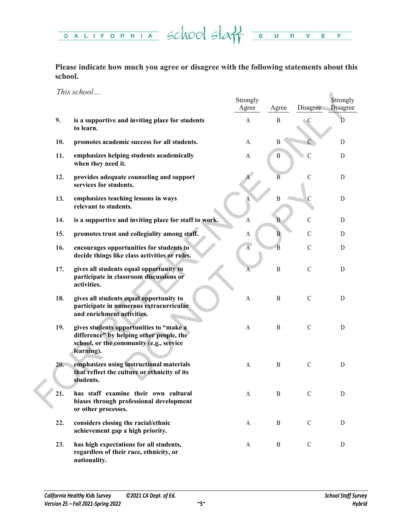CALIFORNIA SCHOOL STAT SURVE  $Y =$ 

**Please indicate how much you agree or disagree with the following statements about this school.**

*This school…*

|     | <i>INIS SCHOOL</i>                                                                                                                           | Strongly<br>Agree | Agree          | Disagree      | Strongly<br><b>Disagree</b> |
|-----|----------------------------------------------------------------------------------------------------------------------------------------------|-------------------|----------------|---------------|-----------------------------|
| 9.  | is a supportive and inviting place for students<br>to learn.                                                                                 | $\mathbf{A}$      | $\mathbf{B}$   | C             | D                           |
| 10. | promotes academic success for all students.                                                                                                  | A                 | B              |               | D                           |
| 11. | emphasizes helping students academically<br>when they need it.                                                                               | A                 | B              | С             | D                           |
| 12. | provides adequate counseling and support<br>services for students.                                                                           |                   | $\overline{B}$ | $\mathcal{C}$ | D                           |
| 13. | emphasizes teaching lessons in ways<br>relevant to students.                                                                                 |                   | $\mathbf{B}$   | $\mathcal{C}$ | $\mathbf D$                 |
| 14. | is a supportive and inviting place for staff to work.                                                                                        | A                 | B              | $\mathcal{C}$ | D                           |
| 15. | promotes trust and collegiality among staff.                                                                                                 | A                 | B              | $\mathcal{C}$ | D                           |
| 16. | encourages opportunities for students to<br>decide things like class activities or rules.                                                    | $\overline{A}$    | $\overline{B}$ | $\mathcal{C}$ | D                           |
| 17. | gives all students equal opportunity to<br>participate in classroom discussions or<br>activities.                                            | А                 | $\, {\bf B}$   | $\mathsf C$   | D                           |
| 18. | gives all students equal opportunity to<br>participate in numerous extracurricular<br>and enrichment activities.                             | A                 | B              | $\mathcal{C}$ | D                           |
| 19. | gives students opportunities to "make a<br>difference" by helping other people, the<br>school, or the community (e.g., service<br>learning). | A                 | $\mathbf{B}$   | $\mathcal{C}$ | $\mathbf D$                 |
| 20. | emphasizes using instructional materials<br>that reflect the culture or ethnicity of its<br>students.                                        | A                 | $\mathbf{B}$   | $\mathcal{C}$ | D                           |
| 21. | has staff examine their own cultural<br>biases through professional development<br>or other processes.                                       | $\mathbf{A}$      | $\, {\bf B}$   | $\mathcal{C}$ | D                           |
| 22. | considers closing the racial/ethnic<br>achievement gap a high priority.                                                                      | A                 | B              | $\mathcal{C}$ | D                           |
| 23. | has high expectations for all students,<br>regardless of their race, ethnicity, or<br>nationality.                                           | A                 | B              | $\mathcal{C}$ | D                           |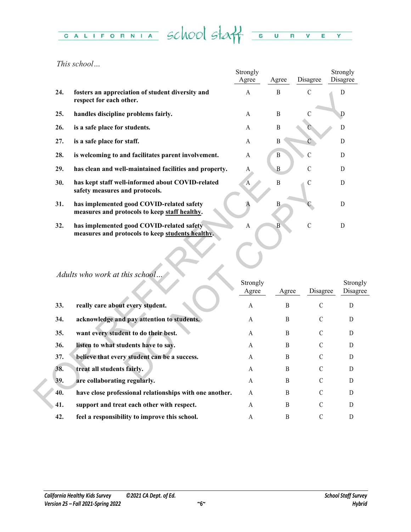#### CALIFORNIA School Staff  $\overline{\mathbf{s}}$  $\overline{\mathsf{u}}$  $R$   $V$   $E$  $Y =$

*This school…*

|     |                                                                                               | Strongly<br>Agree | Agree          | Disagree       | Strongly<br>Disagree |
|-----|-----------------------------------------------------------------------------------------------|-------------------|----------------|----------------|----------------------|
| 24. | fosters an appreciation of student diversity and<br>respect for each other.                   | A                 | B              | $\mathcal{C}$  | D                    |
| 25. | handles discipline problems fairly.                                                           | A                 | B              | $\mathcal{C}$  | D                    |
| 26. | is a safe place for students.                                                                 | A                 | $\mathbf B$    |                | D                    |
| 27. | is a safe place for staff.                                                                    | A                 | B              | C              | D                    |
| 28. | is welcoming to and facilitates parent involvement.                                           | A                 | $\, {\bf B}$   | $\overline{C}$ | D                    |
| 29. | has clean and well-maintained facilities and property.                                        | A                 | $\, {\bf B}$   | $\mathcal{C}$  | D                    |
| 30. | has kept staff well-informed about COVID-related<br>safety measures and protocols.            | A                 | $\, {\bf B}$   | $\mathcal{C}$  | D                    |
| 31. | has implemented good COVID-related safety<br>measures and protocols to keep staff healthy.    | A                 | $\mathbf B$    |                | D                    |
| 32. | has implemented good COVID-related safety<br>measures and protocols to keep students healthy. | A                 | $\overline{B}$ | $\overline{C}$ | $\mathbf D$          |
|     | Adults who work at this school.                                                               | Strongly          |                |                | Strong               |
|     |                                                                                               | Agree             | Agree          | Disagree       | Disagr               |
| 33. | really care about every student.                                                              | A                 | B              | $\mathcal{C}$  | D                    |
| 34. | acknowledge and pay attention to students.                                                    | A                 | B              | $\mathcal{C}$  | D                    |
| 35. | want every student to do their best.                                                          | A                 | B              | C              | D                    |
| 36. | listen to what students have to say.                                                          | A                 | B              | C              | D                    |
| 37. | believe that every student can be a success.                                                  | A                 | B              | C              | D                    |
| 38. | treat all students fairly.                                                                    | A                 | B              | $\mathcal{C}$  | D                    |
| 39. | are collaborating regularly.                                                                  | A                 | B              | C              | D                    |
| 40. | have close professional relationships with one another.                                       | A                 | B              | $\mathcal{C}$  | D                    |
| 41. | support and treat each other with respect.                                                    | A                 | B              | $\mathcal{C}$  | D                    |

# *Adults who work at this school…*

| JU. | nas kept stari wen-informed about COVID-related<br>safety measures and protocols.             | 'A                | D              | ◡             | D                    |
|-----|-----------------------------------------------------------------------------------------------|-------------------|----------------|---------------|----------------------|
| 31. | has implemented good COVID-related safety<br>measures and protocols to keep staff healthy.    | A                 | $\, {\bf B}$   |               | $\mathbf D$          |
| 32. | has implemented good COVID-related safety<br>measures and protocols to keep students healthy. | A                 | $\overline{B}$ | $\mathcal{C}$ | D                    |
|     | Adults who work at this school                                                                | Strongly<br>Agree | Agree          | Disagree      | Strongly<br>Disagree |
| 33. | really care about every student.                                                              | A                 | B              | $\mathcal{C}$ | D                    |
| 34. | acknowledge and pay attention to students.                                                    | A                 | B              | $\mathcal{C}$ | D                    |
| 35. | want every student to do their best.                                                          | A                 | B              | $\mathcal{C}$ | D                    |
| 36. | listen to what students have to say.                                                          | $\mathsf{A}$      | <sub>B</sub>   | $\mathcal{C}$ | D                    |
| 37. | believe that every student can be a success.                                                  | A                 | B              | $\mathcal{C}$ | D                    |
| 38. | treat all students fairly.                                                                    | A                 | B              | $\mathcal{C}$ | D                    |
| 39. | are collaborating regularly.                                                                  | A                 | B              | $\mathcal{C}$ | D                    |
| 40. | have close professional relationships with one another.                                       | A                 | B              | $\mathcal{C}$ | D                    |
| 41. | support and treat each other with respect.                                                    | A                 | B              | $\mathcal{C}$ | D                    |
| 42. | feel a responsibility to improve this school.                                                 | A                 | B              | $\mathcal{C}$ | D                    |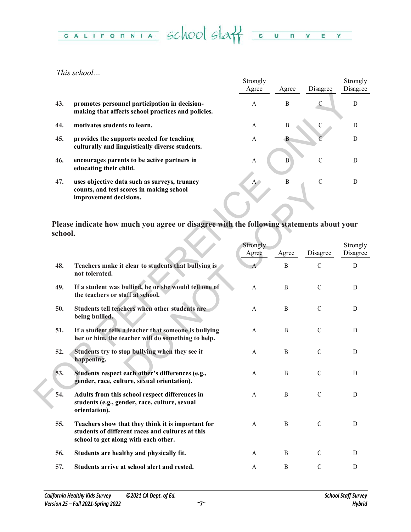# CALIFORNIA SCHOOL STAT SURVEY

*This school…*

|     |                                                                                                                    | Strongly       |       |               | Strongly |
|-----|--------------------------------------------------------------------------------------------------------------------|----------------|-------|---------------|----------|
|     |                                                                                                                    | Agree          | Agree | Disagree      | Disagree |
| 43. | promotes personnel participation in decision-<br>making that affects school practices and policies.                | A              | B     | С             | D        |
| 44. | motivates students to learn.                                                                                       | A              | B     |               | D        |
| 45. | provides the supports needed for teaching<br>culturally and linguistically diverse students.                       | A              |       |               | D        |
| 46. | encourages parents to be active partners in<br>educating their child.                                              | $\overline{A}$ | B     | $\mathcal{C}$ |          |
| 47. | uses objective data such as surveys, truancy<br>counts, and test scores in making school<br>improvement decisions. | $A^{\wedge}$   | B     | C             |          |

| 43.     | promotes personnel participation in decision-<br>making that affects school practices and policies.                                           | A                     | B                | $\mathsf C$   | D                    |
|---------|-----------------------------------------------------------------------------------------------------------------------------------------------|-----------------------|------------------|---------------|----------------------|
| 44.     | motivates students to learn.                                                                                                                  | A                     | B                | $\mathsf C$   | D                    |
| 45.     | provides the supports needed for teaching<br>culturally and linguistically diverse students.                                                  | A                     | $\mathbf{B}$     |               | D                    |
| 46.     | encourages parents to be active partners in<br>educating their child.                                                                         | A                     | $\boldsymbol{B}$ | $\mathcal{C}$ | D                    |
| 47.     | uses objective data such as surveys, truancy<br>counts, and test scores in making school<br>improvement decisions.                            | $A^{\bullet}$         | $\boldsymbol{B}$ | $\mathcal{C}$ | D                    |
| school. | Please indicate how much you agree or disagree with the following statements about your                                                       |                       |                  |               |                      |
|         |                                                                                                                                               | Strongly<br>Agree     | Agree            | Disagree      | Strongly<br>Disagree |
| 48.     | Teachers make it clear to students that bullying is<br>not tolerated.                                                                         |                       | $\mathbf{B}$     | $\mathcal{C}$ | D                    |
| 49.     | If a student was bullied, he or she would tell one of<br>the teachers or staff at school.                                                     | A                     | $\boldsymbol{B}$ | $\mathcal{C}$ | D                    |
| 50.     | Students tell teachers when other students are<br>being bullied.                                                                              | A                     | B                | $\mathcal{C}$ | D                    |
| 51.     | If a student tells a teacher that someone is bullying<br>her or him, the teacher will do something to help.                                   | A                     | B                | $\mathcal{C}$ | D                    |
| 52.     | Students try to stop bullying when they see it<br>happening.                                                                                  | A                     | $\boldsymbol{B}$ | $\mathcal{C}$ | D                    |
| 53.     | Students respect each other's differences (e.g.,<br>gender, race, culture, sexual orientation).                                               | A                     | B                | $\mathcal{C}$ | D                    |
| 54.     | Adults from this school respect differences in<br>students (e.g., gender, race, culture, sexual<br>orientation).                              | $\boldsymbol{\rm{A}}$ | B                | $\mathcal{C}$ | D                    |
| 55.     | Teachers show that they think it is important for<br>students of different races and cultures at this<br>school to get along with each other. | A                     | $\mathbf{B}$     | $\mathbf C$   | D                    |
| 56.     | Students are healthy and physically fit.                                                                                                      | A                     | B                | $\mathcal{C}$ | D                    |
| 57.     | Students arrive at school alert and rested.                                                                                                   | A                     | $\, {\bf B}$     | $\mathsf C$   | D                    |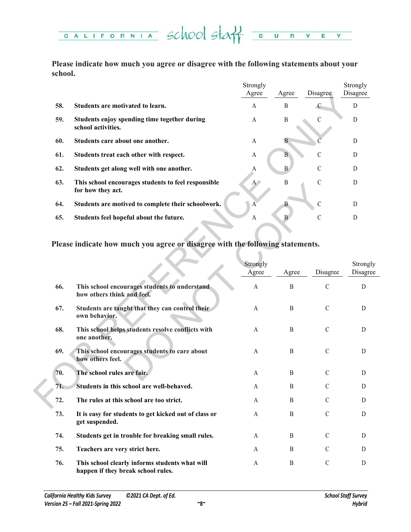

**Please indicate how much you agree or disagree with the following statements about your school.**

|     |                                                                          | Strongly<br>Agree | Agree        | Disagree      | Strongly<br>Disagree |
|-----|--------------------------------------------------------------------------|-------------------|--------------|---------------|----------------------|
|     |                                                                          |                   |              |               |                      |
| 58. | Students are motivated to learn.                                         | A                 | B            | C             | D                    |
| 59. | Students enjoy spending time together during<br>school activities.       | A                 | B            |               | D                    |
| 60. | Students care about one another.                                         | A                 | B            |               | D                    |
| 61. | Students treat each other with respect.                                  | A                 | B            | $\mathcal{C}$ | D                    |
| 62. | Students get along well with one another.                                | A                 | B            | C             | D                    |
| 63. | This school encourages students to feel responsible<br>for how they act. | $A^{\bullet}$     | B            | $\mathcal{C}$ | D                    |
| 64. | Students are motived to complete their schoolwork.                       | A                 |              | $\mathcal{C}$ | D                    |
| 65. | Students feel hopeful about the future.                                  | A                 | <sub>B</sub> | C             | D                    |
|     |                                                                          |                   |              |               |                      |

|     |                                                                                      | Agree                 | Agree            | <b>Disagree</b> | Disagree    |
|-----|--------------------------------------------------------------------------------------|-----------------------|------------------|-----------------|-------------|
| 58. | Students are motivated to learn.                                                     | A                     | $\, {\bf B}$     | $\epsilon$      | $\mathbf D$ |
| 59. | Students enjoy spending time together during<br>school activities.                   | A                     | $\, {\bf B}$     | $\mathbf C$     | $\mathbf D$ |
| 60. | Students care about one another.                                                     | A                     | $\overline{B}$   |                 | $\mathbf D$ |
| 61. | Students treat each other with respect.                                              | A                     | B                | $\mathcal{C}$   | D           |
| 62. | Students get along well with one another.                                            | A                     | $\mathbf{B}$     | $\mathsf C$     | D           |
| 63. | This school encourages students to feel responsible<br>for how they act.             | $A^+$                 | $\, {\bf B}$     | $\mathcal{C}$   | $\mathbf D$ |
| 64. | Students are motived to complete their schoolwork.                                   | $\mathbf{A}$          | B                | $\mathcal{C}$   | D           |
| 65. | Students feel hopeful about the future.                                              | A                     | $\mathbf{B}$     | C               | D           |
|     | Please indicate how much you agree or disagree with the following statements.        | Strongly              |                  |                 | Strongly    |
|     |                                                                                      | Agree                 | Agree            | Disagree        | Disagree    |
| 66. | This school encourages students to understand<br>how others think and feel.          | $\boldsymbol{\rm{A}}$ | $\, {\bf B}$     | $\mathcal{C}$   | ${\rm D}$   |
| 67. | Students are taught that they can control their<br>own behavior.                     | A                     | B                | $\mathcal{C}$   | D           |
| 68. | This school helps students resolve conflicts with<br>one another.                    | A                     | B                | $\mathcal{C}$   | D           |
| 69. | This school encourages students to care about<br>how others feel.                    | A                     | B                | $\mathcal{C}$   | D           |
| 70. | The school rules are fair.                                                           | A                     | $\boldsymbol{B}$ | $\mathcal{C}$   | D           |
| 71. | Students in this school are well-behaved.                                            | A                     | B                | $\mathcal{C}$   | D           |
| 72. | The rules at this school are too strict.                                             | A                     | $\boldsymbol{B}$ | $\mathcal{C}$   | D           |
| 73. | It is easy for students to get kicked out of class or<br>get suspended.              | A                     | $\boldsymbol{B}$ | $\mathbf C$     | D           |
| 74. | Students get in trouble for breaking small rules.                                    | A                     | B                | $\mathcal{C}$   | D           |
| 75. | Teachers are very strict here.                                                       | A                     | B                | $\mathcal{C}$   | D           |
| 76. | This school clearly informs students what will<br>happen if they break school rules. | A                     | B                | $\mathcal{C}$   | D           |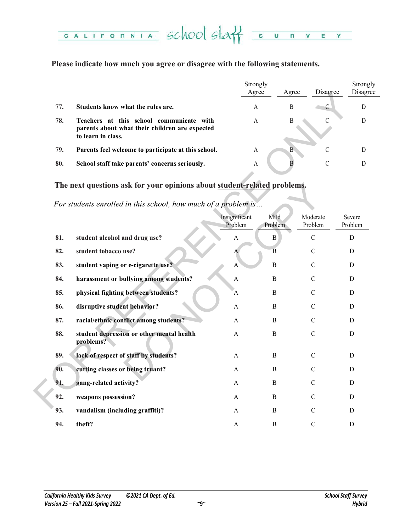#### CALIFORNIA School staff  $\overline{\mathsf{U}}$  $\overline{\mathbf{R}}$  $\overline{\mathsf{v}}$ E Y

### **Please indicate how much you agree or disagree with the following statements.**

|     |                                                                                                                  | Strongly<br>Agree | Agree | Disagree | Strongly<br>Disagree |
|-----|------------------------------------------------------------------------------------------------------------------|-------------------|-------|----------|----------------------|
| 77. | Students know what the rules are.                                                                                | А                 | B     | ◡        |                      |
| 78. | Teachers at this school communicate with<br>parents about what their children are expected<br>to learn in class. | A                 | B     |          |                      |
| 79. | Parents feel welcome to participate at this school.                                                              | A                 | B     |          |                      |
| 80. | School staff take parents' concerns seriously.                                                                   | A                 |       |          |                      |

# **The next questions ask for your opinions about student-related problems.**

|     |                                                                                                                  | Agree                    |                 | Agree            | Disagree            | Disag             |
|-----|------------------------------------------------------------------------------------------------------------------|--------------------------|-----------------|------------------|---------------------|-------------------|
| 77. | Students know what the rules are.                                                                                | A                        |                 | B                | $\mathcal{C}$       | $\mathbf{D}$      |
| 78. | Teachers at this school communicate with<br>parents about what their children are expected<br>to learn in class. | A                        |                 | $\boldsymbol{B}$ | C                   | $\mathbf D$       |
| 79. | Parents feel welcome to participate at this school.                                                              | $\mathbf{A}$             |                 | B                | $\mathbf C$         | $\mathbf{D}$      |
| 80. | School staff take parents' concerns seriously.                                                                   | A                        |                 | B                | $\mathcal{C}$       | $\mathbf{D}$      |
|     | The next questions ask for your opinions about student-related problems.                                         |                          |                 |                  |                     |                   |
|     | For students enrolled in this school, how much of a problem is                                                   |                          |                 |                  |                     |                   |
|     |                                                                                                                  | Insignificant<br>Problem | Mild<br>Problem |                  | Moderate<br>Problem | Severe<br>Problem |
| 81. | student alcohol and drug use?                                                                                    | A                        | $\, {\bf B}$    |                  | $\mathcal{C}$       | D                 |
| 82. | student tobacco use?                                                                                             | A                        | $\overline{B}$  |                  | $\mathcal{C}$       | D                 |
| 83. | student vaping or e-cigarette use?                                                                               | A                        | $\, {\bf B}$    |                  | $\mathcal{C}$       | $\mathbf D$       |
| 84. | harassment or bullying among students?                                                                           | A                        | B               |                  | C                   | D                 |
| 85. | physical fighting between students?                                                                              | A                        | $\, {\bf B}$    |                  | $\mathcal{C}$       | D                 |
| 86. | disruptive student behavior?                                                                                     | A                        | B               |                  | C                   | D                 |
| 87. | racial/ethnic conflict among students?                                                                           | A                        | B               |                  | $\mathcal{C}$       | $\mathbf D$       |
| 88. | student depression or other mental health<br>problems?                                                           | A                        | B               |                  | $\mathcal{C}$       | D                 |
| 89. | lack of respect of staff by students?                                                                            | A                        | B               |                  | $\mathcal{C}$       | D                 |
| 90. | cutting classes or being truant?                                                                                 | A                        | B               |                  | C                   | D                 |
| 91. | gang-related activity?                                                                                           | A                        | B               |                  | C                   | $\mathbf D$       |
| 92. | weapons possession?                                                                                              | A                        | B               |                  | $\mathcal{C}$       | D                 |
| 93. | vandalism (including graffiti)?                                                                                  | A                        | B               |                  | $\mathcal{C}$       | D                 |
| 94. | theft?                                                                                                           | A                        | B               |                  | $\mathcal{C}$       | D                 |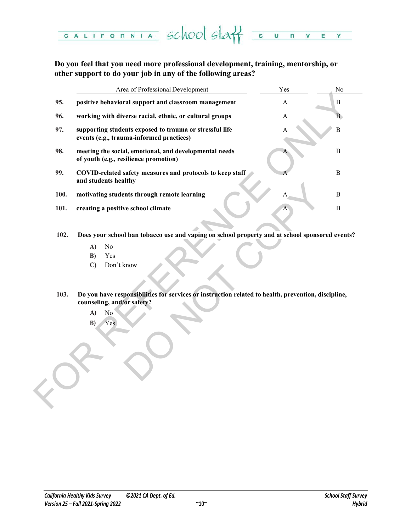

**Do you feel that you need more professional development, training, mentorship, or other support to do your job in any of the following areas?** 

|      | Area of Professional Development                                                                                                  | Yes | No           |
|------|-----------------------------------------------------------------------------------------------------------------------------------|-----|--------------|
| 95.  | positive behavioral support and classroom management                                                                              | A   | $\, {\bf B}$ |
| 96.  | working with diverse racial, ethnic, or cultural groups                                                                           | A   | B.           |
| 97.  | supporting students exposed to trauma or stressful life<br>events (e.g., trauma-informed practices)                               | A   | $\, {\bf B}$ |
| 98.  | meeting the social, emotional, and developmental needs<br>of youth (e.g., resilience promotion)                                   |     | $\mathbf B$  |
| 99.  | COVID-related safety measures and protocols to keep staff<br>and students healthy                                                 |     | $\mathbf B$  |
| 100. | motivating students through remote learning                                                                                       |     | $\mathbf B$  |
| 101. | creating a positive school climate                                                                                                |     | $\mathbf B$  |
| 103. | Don't know<br>$\mathbf{C}$<br>Do you have responsibilities for services or instruction related to health, prevention, discipline, |     |              |
|      | counseling, and/or safety?                                                                                                        |     |              |
|      | A)<br>$\rm No$                                                                                                                    |     |              |
|      | B)<br>Yes                                                                                                                         |     |              |
|      |                                                                                                                                   |     |              |
|      |                                                                                                                                   |     |              |
|      |                                                                                                                                   |     |              |
|      |                                                                                                                                   |     |              |
|      |                                                                                                                                   |     |              |
|      |                                                                                                                                   |     |              |

- **102. Does your school ban tobacco use and vaping on school property and at school sponsored events?**
	- **A)** No
	- **B)** Yes
	- **C)** Don't know
- **103. Do you have responsibilities for services or instruction related to health, prevention, discipline, counseling, and/or safety?** 
	- **A)** No
	- **B)** Yes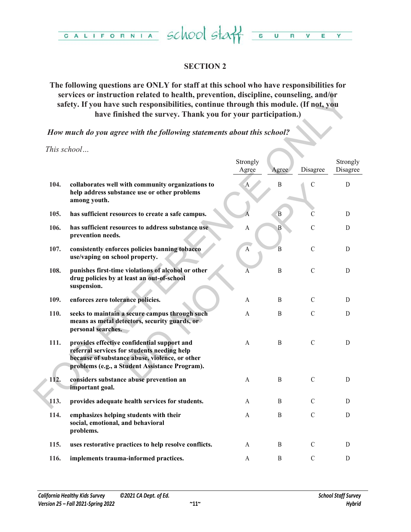

# **SECTION 2**

# **The following questions are ONLY for staff at this school who have responsibilities for services or instruction related to health, prevention, discipline, counseling, and/or safety. If you have such responsibilities, continue through this module. (If not, you have finished the survey. Thank you for your participation.)**

| services or instruction related to health, prevention, discipline, counseling, and/or<br>safety. If you have such responsibilities, continue through this module. (If not, you<br>have finished the survey. Thank you for your participation.) |                                                                                                                                                                                                |                       |                  |               |                      |  |  |  |
|------------------------------------------------------------------------------------------------------------------------------------------------------------------------------------------------------------------------------------------------|------------------------------------------------------------------------------------------------------------------------------------------------------------------------------------------------|-----------------------|------------------|---------------|----------------------|--|--|--|
|                                                                                                                                                                                                                                                | How much do you agree with the following statements about this school?                                                                                                                         |                       |                  |               |                      |  |  |  |
|                                                                                                                                                                                                                                                | This school                                                                                                                                                                                    | Strongly<br>Agree     | Agree            | Disagree      | Strongly<br>Disagree |  |  |  |
| 104.                                                                                                                                                                                                                                           | collaborates well with community organizations to<br>help address substance use or other problems<br>among youth.                                                                              | $\mathbf{A}$          | B                | $\mathcal{C}$ | D                    |  |  |  |
| 105.                                                                                                                                                                                                                                           | has sufficient resources to create a safe campus.                                                                                                                                              |                       | $\mathbf{B}$     | C             | D                    |  |  |  |
| 106.                                                                                                                                                                                                                                           | has sufficient resources to address substance use<br>prevention needs.                                                                                                                         | $\boldsymbol{\rm{A}}$ | $\mathbf{B}$     | $\mathcal{C}$ | D                    |  |  |  |
| 107.                                                                                                                                                                                                                                           | consistently enforces policies banning tobacco<br>use/vaping on school property.                                                                                                               | $\boldsymbol{A}$      | $\overline{B}$   | $\mathcal{C}$ | D                    |  |  |  |
| 108.                                                                                                                                                                                                                                           | punishes first-time violations of alcohol or other<br>drug policies by at least an out-of-school<br>suspension.                                                                                | A                     | $\, {\bf B}$     | $\mathcal{C}$ | D                    |  |  |  |
| 109.                                                                                                                                                                                                                                           | enforces zero tolerance policies.                                                                                                                                                              | A                     | B                | $\mathcal{C}$ | D                    |  |  |  |
| 110.                                                                                                                                                                                                                                           | seeks to maintain a secure campus through such<br>means as metal detectors, security guards, or<br>personal searches.                                                                          | A                     | $\boldsymbol{B}$ | $\mathcal{C}$ | D                    |  |  |  |
| 111.                                                                                                                                                                                                                                           | provides effective confidential support and<br>referral services for students needing help<br>because of substance abuse, violence, or other<br>problems (e.g., a Student Assistance Program). | A                     | B                | $\mathcal{C}$ | D                    |  |  |  |
| 112.                                                                                                                                                                                                                                           | considers substance abuse prevention an<br>important goal.                                                                                                                                     | A                     | B                | $\mathcal{C}$ | D                    |  |  |  |
| 113.                                                                                                                                                                                                                                           | provides adequate health services for students.                                                                                                                                                | A                     | B                | $\mathcal{C}$ | D                    |  |  |  |
| 114.                                                                                                                                                                                                                                           | emphasizes helping students with their<br>social, emotional, and behavioral<br>problems.                                                                                                       | A                     | $\boldsymbol{B}$ | $\mathcal{C}$ | D                    |  |  |  |
| 115.                                                                                                                                                                                                                                           | uses restorative practices to help resolve conflicts.                                                                                                                                          | A                     | $\mathbf{B}$     | $\mathcal{C}$ | D                    |  |  |  |
| 116.                                                                                                                                                                                                                                           | implements trauma-informed practices.                                                                                                                                                          | A                     | B                | $\mathsf C$   | D                    |  |  |  |